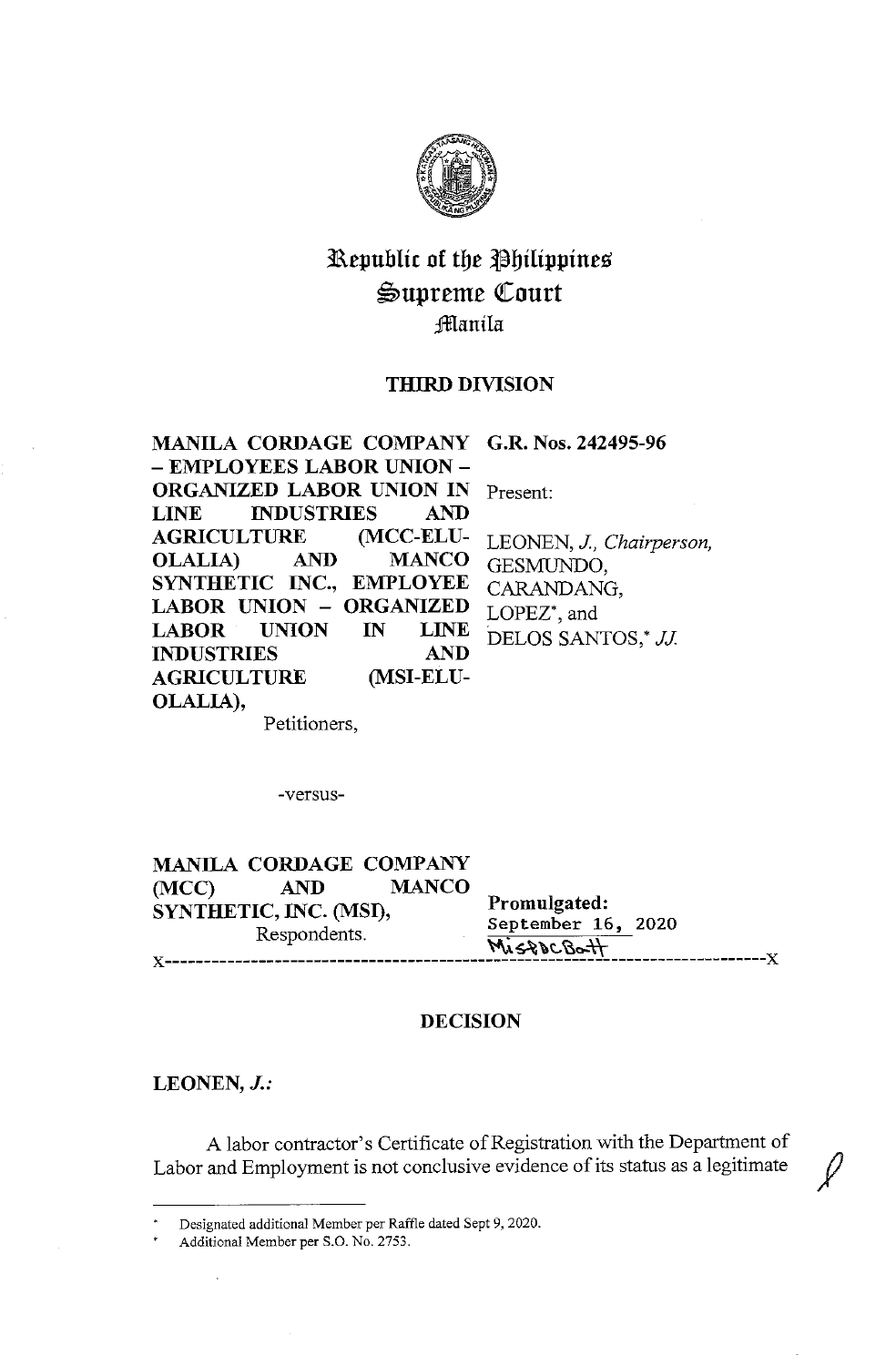

# Republic of the Philippines ~upreme Qtourt :fflanila

# **THIRD DIVISION**

| MANILA CORDAGE COMPANY G.R. Nos. 242495-96 |                          |
|--------------------------------------------|--------------------------|
| – EMPLOYEES LABOR UNION –                  |                          |
| ORGANIZED LABOR UNION IN                   | Present:                 |
| LINE INDUSTRIES<br><b>AND</b>              |                          |
| <b>AGRICULTURE MCC-ELU-</b>                | LEONEN, J., Chairperson, |
| OLALIA) AND MANCO                          | GESMUNDO,                |
| SYNTHETIC INC., EMPLOYEE                   | CARANDANG,               |
| LABOR UNION - ORGANIZED                    | LOPEZ*, and              |
| LABOR UNION IN LINE                        | DELOS SANTOS,* JJ.       |
| <b>AND</b><br><b>INDUSTRIES</b>            |                          |
| <b>AGRICULTURE MSI-ELU-</b>                |                          |
| OLALIA),                                   |                          |

Petitioners,

-versus-

**MANILA CORDAGE COMPANY (MCC) AND MANCO SYNTHETIC, INC. (MSI),** Promulgated: R d t **September 16, 2020**   $Respondents.$ **··~\~\1:.,~c,..\\ x-----------------------------------------------------------------------------x** 

# **DECISION**

**LEONEN,** *J.:* 

 $\cdot$ 

A labor contractor's Certificate of Registration with the Department of Labor and Employment is not conclusive evidence of its status as a legitimate

Designated additional Member per Raffle dated Sept 9, 2020.

Additional Member per S.O. No. 2753.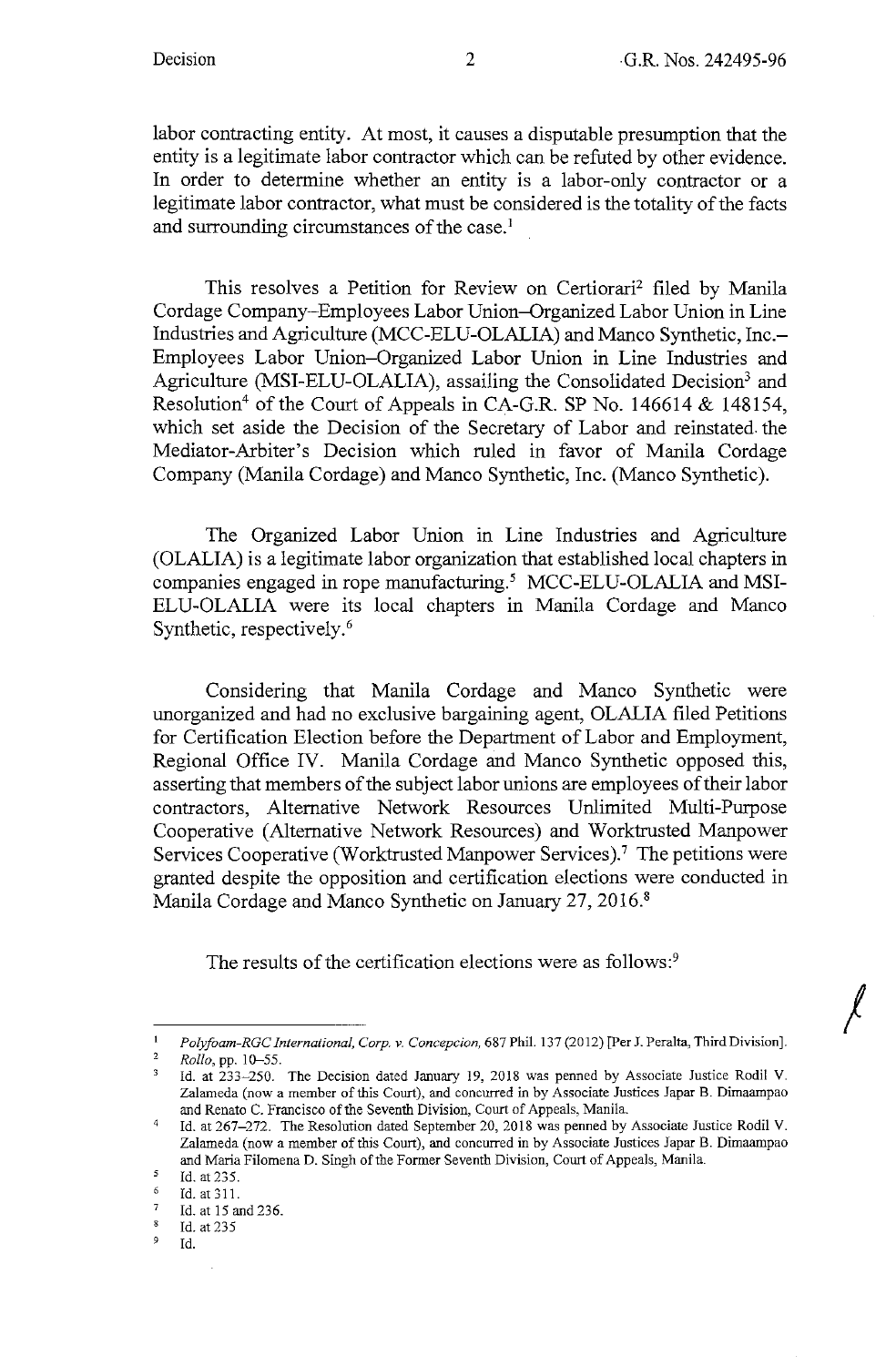*I* 

labor contracting entity. At most, it causes a disputable presumption that the entity is a legitimate labor contractor which can be refuted by other evidence. In order to determine whether an entity is a labor-only contractor or a legitimate labor contractor, what must be considered is the totality of the facts and surrounding circumstances of the case.<sup>1</sup>

This resolves a Petition for Review on Certiorari2 filed by Manila Cordage Company-Employees Labor Union-Organized Labor Union in Line Industries and Agriculture (MCC-ELU-OLALIA) and Manco Synthetic, Inc.- Employees Labor Union-Organized Labor Union in Line Industries and Agriculture (MSI-ELU-OLALIA), assailing the Consolidated Decision<sup>3</sup> and Resolution<sup>4</sup> of the Court of Appeals in CA-G.R. SP No. 146614 & 148154, which set aside the Decision of the Secretary of Labor and reinstated. the Mediator-Arbiter's Decision which ruled in favor of Manila Cordage Company (Manila Cordage) and Manco Synthetic, Inc. (Manco Synthetic).

The Organized Labor Union in Line Industries and Agriculture (OLALIA) is a legitimate labor organization that established local chapters in companies engaged in rope manufacturing.<sup>5</sup> MCC-ELU-OLALIA and MSI-ELU-OLALIA were its local chapters in Manila Cordage and Manco Synthetic, respectively.<sup>6</sup>

Considering that Manila Cordage and Manco Synthetic were unorganized and had no exclusive bargaining agent, OLALIA filed Petitions for Certification Election before the Department of Labor and Employment, Regional Office IV. Manila Cordage and Manco Synthetic opposed this, asserting that members of the subject labor unions are employees of their labor contractors, Alternative Network Resources Unlimited Multi-Purpose Cooperative (Alternative Network Resources) and Worktrusted Manpower Services Cooperative (Worktrusted Manpower Services).<sup>7</sup> The petitions were granted despite the opposition and certification elections were conducted in Manila Cordage and Manco Synthetic on January 27, 2016. <sup>8</sup>

The results of the certification elections were as follows:<sup>9</sup>

<sup>1</sup> *Polyfoam-RGC International, Corp. v. Concepcion,* 687 Phil. 137(2012) [Per J. Peralta, Third Division].

 $Rollo$ , pp. 10–55.<br>
<sup>3</sup> **Id.** at 233, 250.

Id. at 233-250. The Decision dated January 19, 2018 was penned by Associate Justice Rodil V. **Zalameda (now a member of this Court), and concurred in by Associate Justices Japar B. Dimaampao**  and Renato C. Francisco of the Seventh Division, Court of Appeals, Manila.

<sup>4</sup>Id. at 267-272. The Resolution dated September 20, 2018 was penned by Associate Justice Rodi! V. Zalameda (now a member of this Court), and concurred in by Associate Justices Japar B. Dimaampao and Maria Filomena D. Singh of the Former Seventh Division, Court of Appeals, Manila.

 $\frac{5}{6}$  Id. at 235.

Id. at 311.

 $\frac{7}{8}$  Id. at 15 and 236.

 $^{8}$  Id. at 235

<sup>9</sup>Id.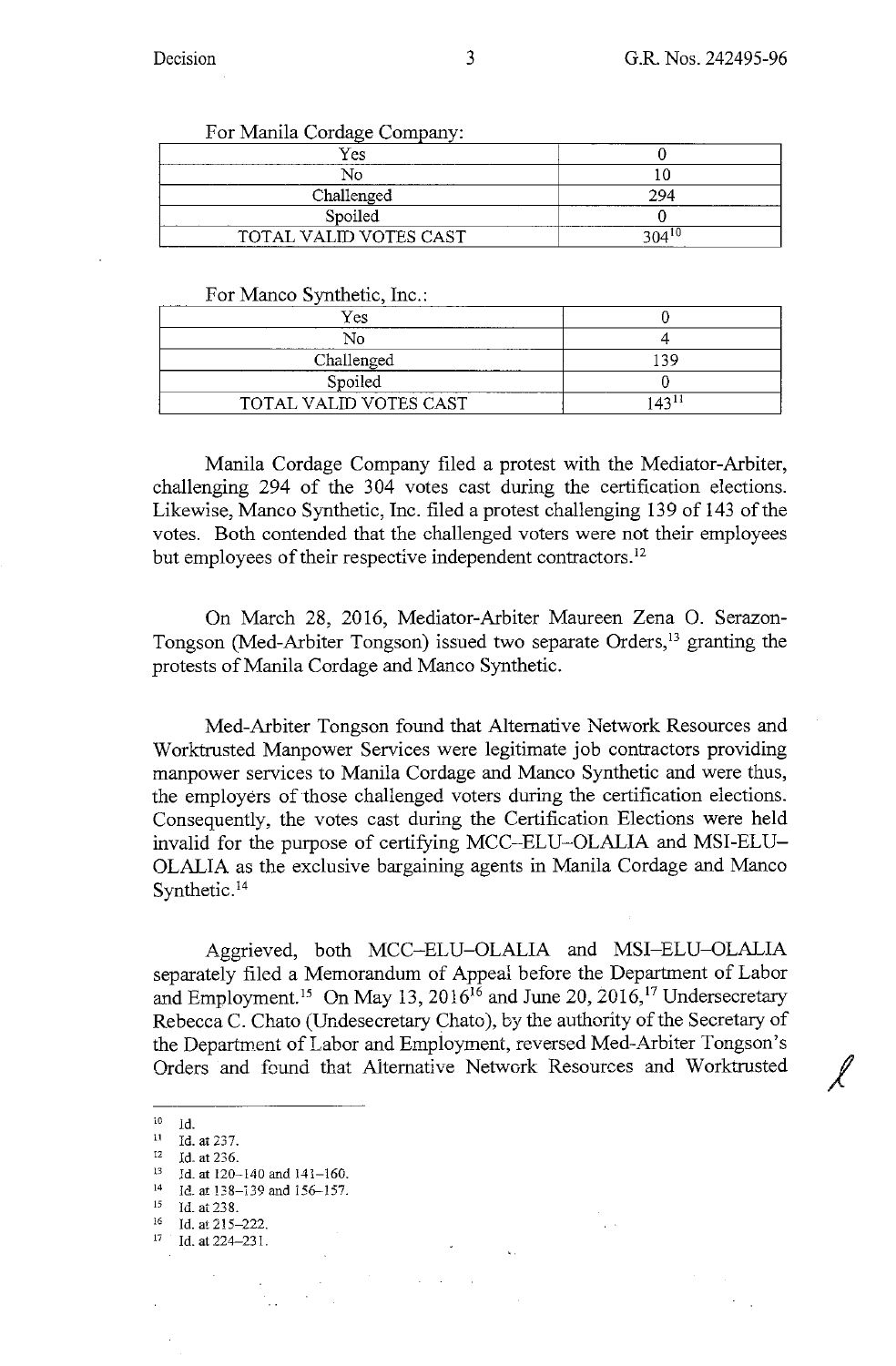| For Manila Cordage Company: |          |
|-----------------------------|----------|
| Yes                         |          |
|                             |          |
| Challenged                  | 294      |
| Spoiled                     |          |
| TOTAL VALID VOTES CAST      | 304 $10$ |

### For Manco Synthetic, Inc.:

| Yes                    |            |
|------------------------|------------|
|                        |            |
| Challenged             | 20 ا       |
| Spoiled                |            |
| TOTAL VALID VOTES CAST | $143^{11}$ |

Manila Cordage Company filed a protest with the Mediator-Arbiter, challenging 294 of the 304 votes cast during the certification elections. Likewise, Manco Synthetic, Inc. filed a protest challenging 139 of 143 of the votes. Both contended that the challenged voters were not their employees but employees of their respective independent contractors.<sup>12</sup>

On March 28, 2016, Mediator-Arbiter Maureen Zena 0. Serazon-Tongson (Med-Arbiter Tongson) issued two separate Orders,<sup>13</sup> granting the protests of Manila Cordage and Manco Synthetic.

Med-Arbiter Tongson found that Alternative Network Resources and Worktrusted Manpower Services were legitimate job contractors providing manpower services to Manila Cordage and Manco Synthetic and were thus, the employers of those challenged voters during the certification elections. Consequently, the votes cast during the Certification Elections were held invalid for the purpose of certifying MCC-ELU-OLALIA and MSI-ELU-OLALIA as the exclusive bargaining agents in Manila Cordage and Manco Synthetic.<sup>14</sup>

Aggrieved, both MCC-ELU-OLALIA and MSI-ELU-OLALIA separately filed a Memorandum of Appeal before the Department of Labor and Employment.<sup>15</sup> On May 13, 2016<sup>16</sup> and June 20, 2016,<sup>17</sup> Undersecretary Rebecca C. Chato (Undesecretary Chato ), by the authority of the Secretary of the Department of Labor and Employment, reversed Med-Arbiter Tongson's Orders and found that Alternative Network Resources and Worktrusted

- $15$  Id. at 238.<br>
16 Id. at 215-222.
- 
- $17$  Id. at 224-231.

<sup>&</sup>lt;sup>10</sup> Id.<br><sup>11</sup> Id. at 237.

<sup>12</sup> Id. at 236.<br>
<sup>13</sup> Id. at 120-140 and 141-160.<br>
<sup>14</sup> Id. at 138-139 and 156-157.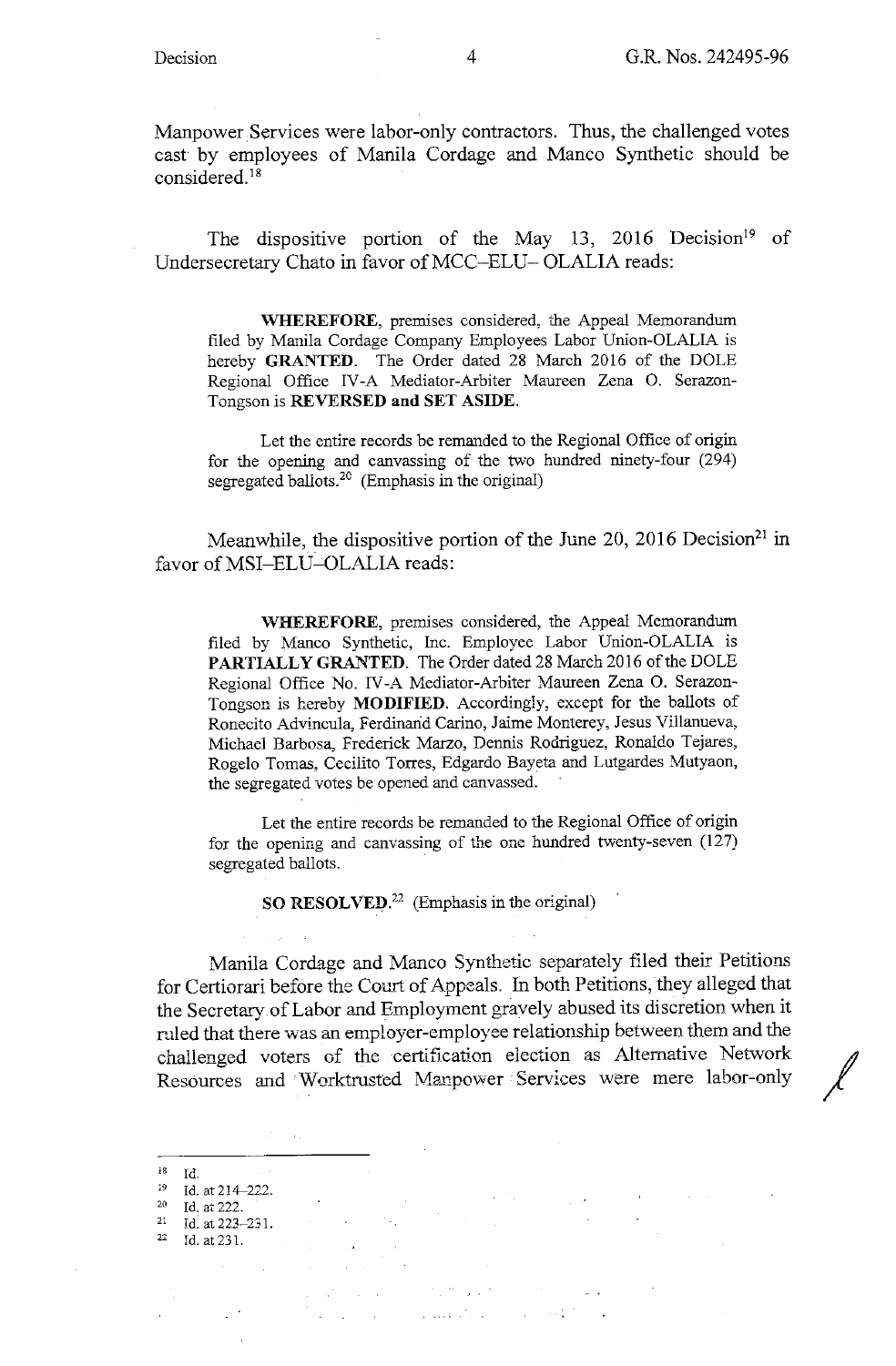Manpower Services were labor-only contractors. Thus, the challenged votes cast by employees of Manila Cordage and Manco Synthetic should be considered. 18

The dispositive portion of the May 13, 2016 Decision<sup>19</sup> of Undersecretary Chato in favor of MCC-ELU- OLALIA reads:

**WHEREFORE,** premises considered, the Appeal Memorandum filed by Manila Cordage Company Employees Labor Union-OLALIA is hereby **GRANTED.** The Order dated 28 March 2016 of the DOLE Regional Office IV-A Mediator-Arbiter Maureen Zena 0. Serazon-Tongson is **REVERSED and SET ASIDE.** 

Let the entire records be remanded to the Regional Office of origin for the opening and canvassing of the two hundred ninety-four (294) segregated ballots. $20$  (Emphasis in the original)

Meanwhile, the dispositive portion of the June 20, 2016 Decision<sup>21</sup> in favor of MSI-ELU-OLALIA reads:

**\VHEREFORE,** premises considered, the Appeal Memorandum filed by Manco Synthetic, Inc. Employee Labor Union-OLALIA is PARTIALLY GRANTED. The Order dated 28 March 2016 of the DOLE Regional Office No. IV-A Mediator-Arbiter Maureen Zena 0. Serazon-Tongson is hereby **MODIFIED.** Accordingly, except for the ballots of Ronecito Advincula, Ferdinarid Carino, Jaime Monterey, Jesus Villanueva, Michael Barbosa, Frederick Marze, Dennis Rodriguez, Renaldo Tejares, Rogelo Tomas, Cecilito Torres, Edgardo Bayeta and Lutgardes Mutyaon, the segregated votes be opened and canvassed.

Let the entire records be remanded to the Regional Office of origin for the opening and canvassing of the one hundred twenty-seven (127) segregated ballots.

**SO RESOLVED.<sup>22</sup>**(Emphasis in the original)

Manila Cordage and Manco Synthetic separately filed their Petitions for Certiorari before the Court of Appeals. In both Petitions, they alleged that the Secretary.of Labor and Employment gravely abused its discretion when it ruled that there was an employer-employee relationship between them and the challenged voters of the certification election as Alternative Network Resources and 'Worktrusted Manpower 'Services were mere labor-only

- 21 **Id: at 223--231.**
- 22 **Id. at 231.**

 $\mathcal{L}^{\mathcal{L}}$  , where  $\mathcal{L}^{\mathcal{L}}$  is the contribution of the set of  $\mathcal{L}^{\mathcal{L}}$ 

 $\sim 1000$  eV and  $\sim 10^{-10}$  eV  $^{-1}$  $\mathcal{L} = \{1, \ldots, n\}$  .

**i8 Id.** 

<sup>&</sup>lt;sup>19</sup> Id. at 214-222.<br><sup>20</sup> Id. at 222.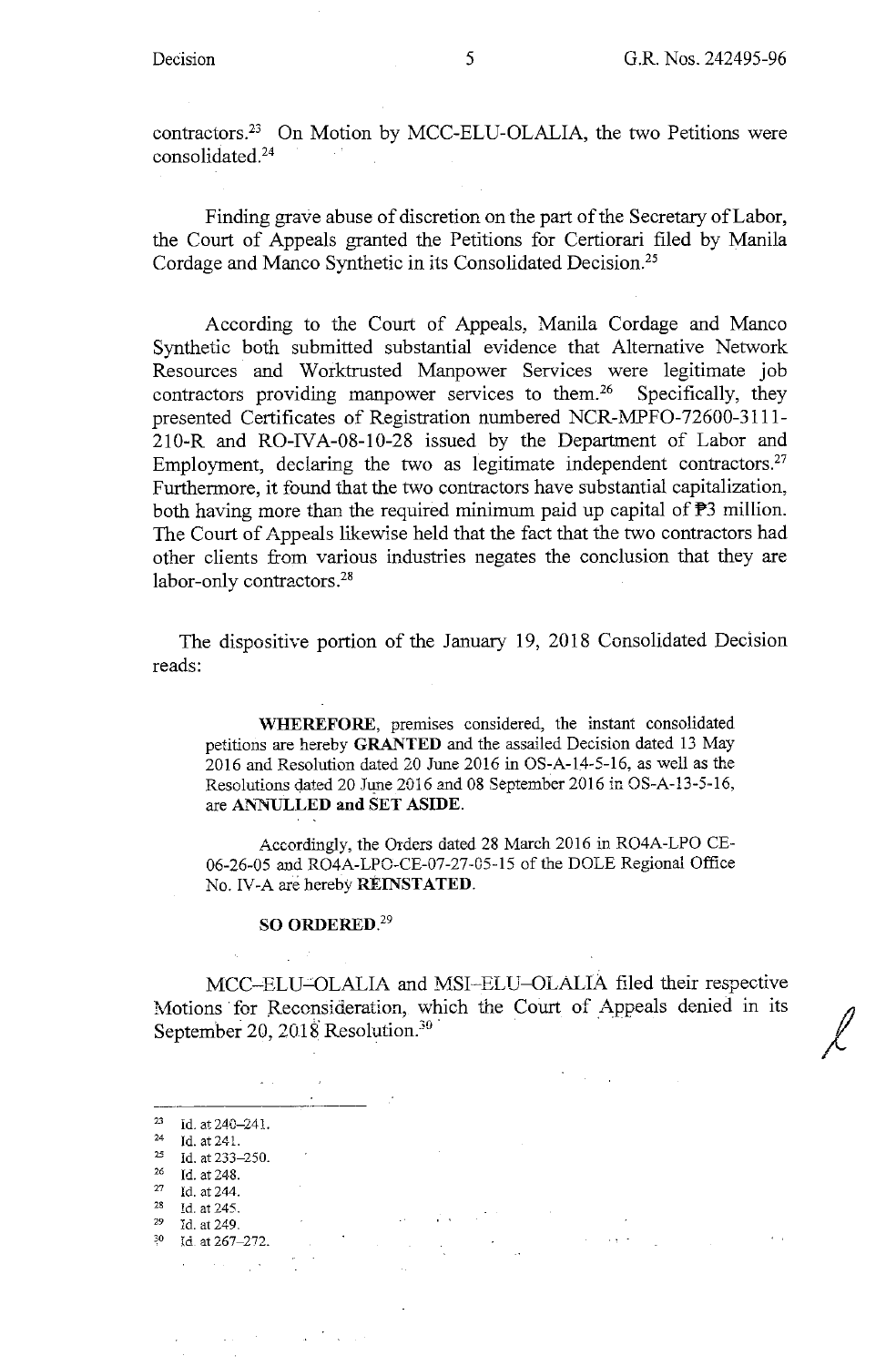contractors.23 On Motion by MCC-ELU-OLALIA, the two Petitions were consolidated.24 14 F

Finding grave abuse of discretion on the part of the Secretary of Labor, the Court of Appeals granted the Petitions for Certiorari filed by Manila Cordage and Manco Synthetic in its Consolidated Decision.25

According to the Court of Appeals, Manila Cordage and Manco Synthetic both submitted substantial evidence that Alternative Network Resources and Worktrusted Manpower Services were legitimate job contractors providing manpower services to them.<sup>26</sup> Specifically, they presented Certificates of Registration numbered NCR-MPFO-72600-3111- 210-R and RO-IVA-08-10-28 issued by the Department of Labor and Employment, declaring the two as legitimate independent contractors. $27$ Furthermore, it found that the two contractors have substantial capitalization, both having more than the required minimum paid up capital of  $\mathbb{P}3$  million. The Court of Appeals likewise held that the fact that the two contractors had other clients from various industries negates the conclusion that they are labor-only contractors.<sup>28</sup>

The dispositive portion of the January 19, 2018 Consolidated Decision reads:

**WHEREFORE,** premises considered, the instant consolidated petitions are hereby **GRANTED** and the assailed Decision dated 13 May 2016 and Resolution dated 20 June 2016 in OS-A-14-5-16, as well as the Resolutions dated 20 June 2016 and 08 September 2016 in OS-A-13-5-16, are ANNULLED and SET ASIDE.

Accordingly, the Orders dated 28 March 2016 in RO4A-LPO CE-06-26-05 and RO4A-LPO-CE-07-27-05-15 of the DOLE Regional Office No. IV-A are hereby **REINSTATED.** 

#### **SO ORDERED.<sup>29</sup>**

MCC-ELU-OLALIA and MSI-ELU-OLALIA filed their respective Motions for Reconsideration, which the Court of Appeals denied in its September 20, 2018 Resolution.<sup>30</sup>

 $\label{eq:2.1} \mathcal{L}_{\mathcal{A}}(\mathbf{r}) = \mathcal{L}_{\mathcal{A}}(\mathbf{r}) = \mathcal{L}_{\mathcal{A}}(\mathbf{r}) = \mathcal{L}_{\mathcal{A}}(\mathbf{r}) = \mathcal{L}_{\mathcal{A}}(\mathbf{r})$ 

 $\label{eq:2.1} \mathcal{L}(\mathcal{L}^{\text{max}}_{\mathcal{L}}(\mathcal{L}^{\text{max}}_{\mathcal{L}})) \leq \mathcal{L}(\mathcal{L}^{\text{max}}_{\mathcal{L}}(\mathcal{L}^{\text{max}}_{\mathcal{L}})) \leq \mathcal{L}(\mathcal{L}^{\text{max}}_{\mathcal{L}}(\mathcal{L}^{\text{max}}_{\mathcal{L}}))$ 

 $\mathcal{H}=\{x,t\in\mathbb{R}^d\}$  .

- 
- $^{25}$  Id. at 233-250.
- $\frac{26}{27}$  Id. at 248.<br><sup>27</sup> Id. at 244.
- 
- <sup>28</sup> Id. at 245.<br><sup>29</sup> Id. at 249.
- 

 $\alpha$  , we have a set  $\alpha$  ,  $\alpha$ 

<sup>29</sup>ld. at 249. 30 Id **at 267-272.** 

 $\label{eq:1} \frac{1}{\sqrt{2}}\sum_{i=1}^n\frac{1}{\sqrt{2}}\left(\frac{1}{\sqrt{2}}\sum_{i=1}^n\frac{1}{\sqrt{2}}\right)^2\left(\frac{1}{\sqrt{2}}\sum_{i=1}^n\frac{1}{\sqrt{2}}\sum_{i=1}^n\frac{1}{\sqrt{2}}\right)^2\left(\frac{1}{\sqrt{2}}\sum_{i=1}^n\frac{1}{\sqrt{2}}\sum_{i=1}^n\frac{1}{\sqrt{2}}\sum_{i=1}^n\frac{1}{\sqrt{2}}\sum_{i=1}^n\frac{1}{\sqrt{2}}\sum_{i=1}$ 

 $\Delta \sim 10^{-11}$ 

<sup>&</sup>lt;sup>23</sup> Id. at  $240-241$ .<br><sup>24</sup> Id. at 241.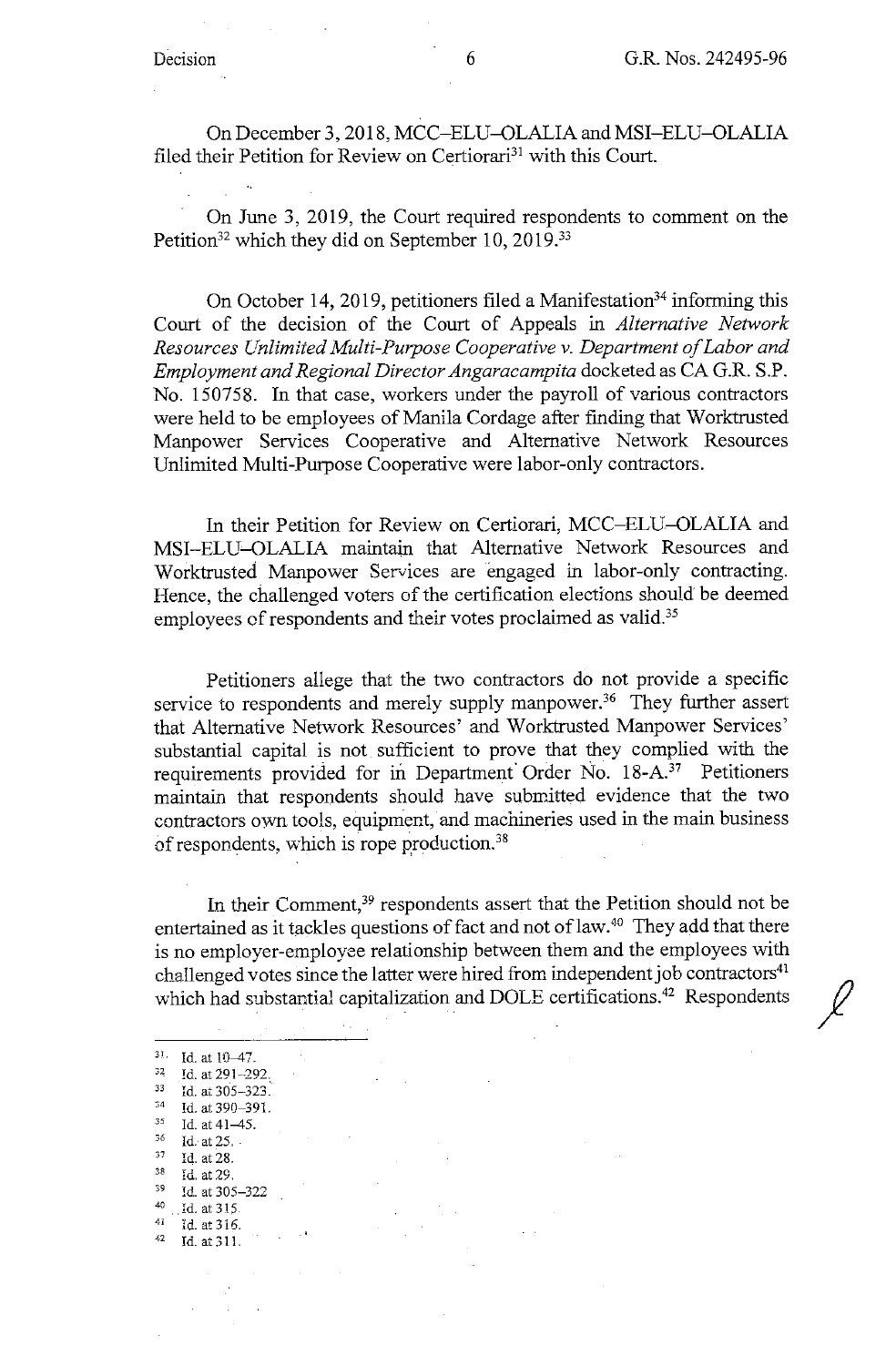On December 3, 2018, MCC-ELU-OLALIA and MSI-ELU-OLALIA filed their Petition for Review on Certiorari<sup>31</sup> with this Court.

On June 3, 2019, the Court required respondents to comment on the Petition<sup>32</sup> which they did on September 10, 2019.<sup>33</sup>

On October 14, 2019, petitioners filed a Manifestation<sup>34</sup> informing this Court of the decision of the Court of Appeals in *Alternative Network Resources Unlimited Multi-Purpose Cooperative v. Department of Labor and Employment and Regional Director Angaracampita* docketed as CA G.R. S.P. No. 150758. In that case, workers under the payroll of various contractors were held to be employees of Manila Cordage after finding that Worktrusted Manpower Services Cooperative and Alternative Network Resources Unlimited Multi-Purpose Cooperative were labor-only contractors.

In their Petition for Review on Certiorari, MCC-ELU-OLALIA and MSI-ELU-OLALIA maintain that Alternative Network Resources and Worktrusted Manpower Services are engaged in labor-only contracting. Hence, the challenged voters of the certification elections should be deemed employees of respondents and their votes proclaimed as valid.<sup>35</sup>

Petitioners allege that the two contractors do not provide a specific service to respondents and merely supply manpower.<sup>36</sup> They further assert that Alternative Network Resources' and Worktrusted Manpower Services' substantial capital is not sufficient to prove that they complied with the requirements provided for in Department Order No. 18-A.<sup>37</sup> Petitioners maintain that respondents should have submitted evidence that the two contractors own tools, equipment, and machineries used in the main business of respondents, which is rope production.<sup>38</sup>

In their Comment,<sup>39</sup> respondents assert that the Petition should not be entertained as it tackles questions of fact and not of law.<sup>40</sup> They add that there is no employer-employee relationship between them and the employees with challenged votes since the latter were hired from independent job contractors<sup>41</sup> which had substantial capitalization and DOLE certifications.<sup>42</sup> Respondents

<sup>31</sup>· Id. at 10-47. <sup>32</sup> Id. at 291-292. 33 **Id. at 305-323~** <sup>34</sup> Id. at 390-391.<br><sup>35</sup> Id. at 41-45.<br><sup>36</sup> Id. at 25. <sup>36</sup>**Id.- at 25.** - <sup>37</sup>**14. at 28.** 38 Id. at 29.<br>
39 Id. at 305-322<br>
40 Id. at 315.<br>
41 Id. at 316.<br>
42 Id. at 311 42 **Id.at311.**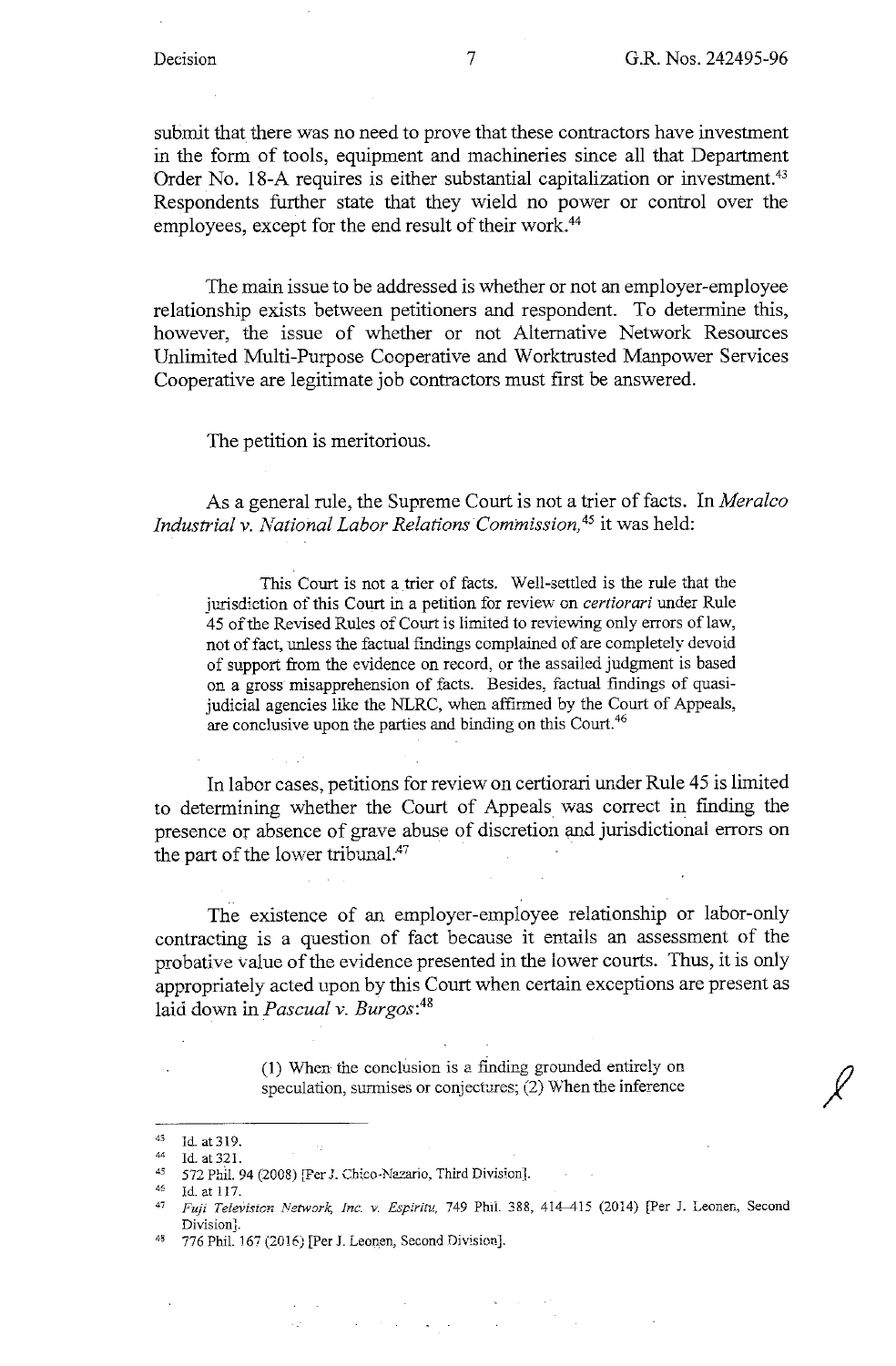*I* 

submit that there was no need to prove that these contractors have investment in the form of tools, equipment and machineries since all that Department Order No. 18-A requires is either substantial capitalization or investment.<sup>43</sup> Respondents further state that they wield no power or control over the employees, except for the end result of their work.<sup>44</sup>

The main issue to be addressed is whether or not an employer-employee relationship exists between petitioners and respondent. To determine this, however, the issue of whether or not Alternative Network Resources Unlimited Multi-Purpose Cooperative and Worktrusted Manpower Services Cooperative are legitimate job contractors must first be answered.

The petition is meritorious.

As a general rule, the Supreme Court is not a trier of facts. In *Meralco Industrial v. National Labor Relations Commission,* 45 it was held:

This Court is not a trier of facts. Well-settled is the rule that the jurisdiction of this Court in a petition for review on *certiorari* under Rule 45 of the Revised Rules of Court is limited to reviewing only errors oflaw, not of fact, unless the factual findings complained of are completely devoid of support from the evidence on record, or the assailed judgment is based on a gross misapprehension of facts. Besides, factual findings of quasijudicial agencies like the NLRC, when affirmed by the Court of Appeals, are conclusive upon the parties and binding on this Court.<sup>46</sup>

In labor cases, petitions for review on certiorari under Rule 45 is limited to determining whether the Court of Appeals was correct in finding the presence or absence of grave abuse of discretion and jurisdictional errors on the part of the lower tribunal.<sup>47</sup>

The existence of an employer-employee relationship or labor-only contracting is a question of fact because it entails an assessment of the probative value of the evidence presented in the lower courts. Thus, it is only appropriately acted upon by this Court when certain exceptions are present as laid down in *Pascual v. Burgos:<sup>48</sup>*

> (1) When the conclusion is a finding grounded entirely on speculation, surmises or conjectures; (2) When the inference

 $\mathcal{L}^{\mathcal{L}}(\mathcal{L}^{\mathcal{L}})$  . We also the following the  $\mathcal{L}^{\mathcal{L}}$ 

 $\mathcal{L}^{\text{max}}_{\text{max}}$ 

 $^{43}$  Id. at 319.

 $^{44}$  Id. at 321.

<sup>45 572</sup> Phil. 94 (2008) [Per J. Chico-Nazario, Third Division].<br>46 Id. at 117.

<sup>&</sup>lt;sup>47</sup> *Fuji Television Network, Inc. v. Espiritu,* 749 Phil. 388, 414-415 (2014) [Per J. Leonen, Second Division].<br>776 Phil. 167 (2016) [Per J. Leonen, Second Division].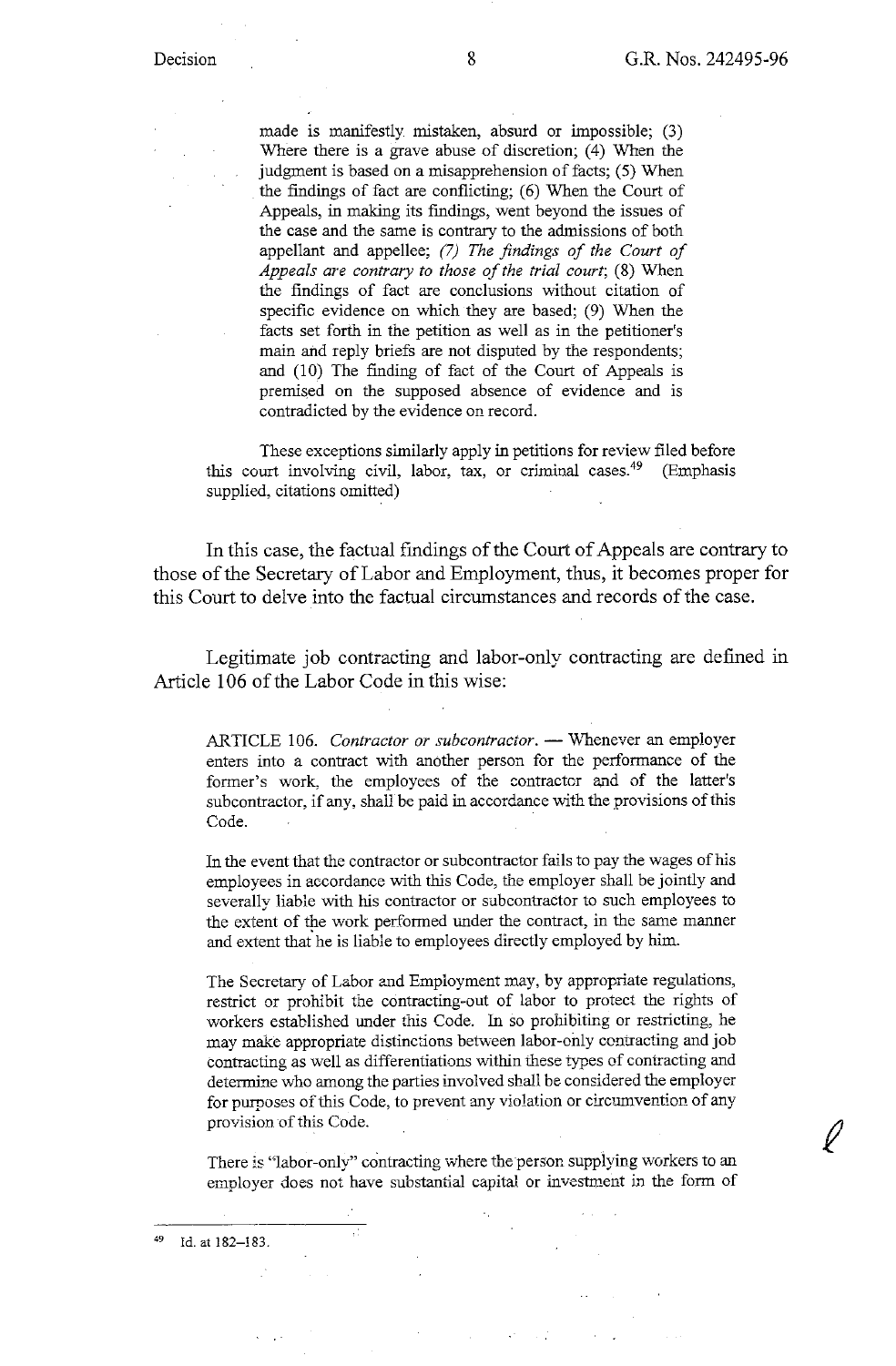made is manifestly mistaken, absurd or impossible; (3) Where there is a grave abuse of discretion;  $(4)$  When the judgment is based on a misapprehension of facts; (5) When the findings of fact are conflicting;  $(6)$  When the Court of Appeals, in making its findings, went beyond the issues of the case and the same is contrary to the admissions of both appellant and appellee; *(7) The findings of the Court of Appeals are contrary to those of the trial court;* (8) When the findings of fact are conclusions without citation of specific evidence on which they are based; (9) When the facts set forth in the petition as well as in the petitioner's main and reply briefs are not disputed by the respondents; and (10) The finding of fact of the Court of Appeals is premised on the supposed absence of evidence and is contradicted by the evidence on record.

These exceptions similarly apply in petitions for review filed before this court involving civil, labor, tax, or criminal cases.<sup>49</sup> (Emphasis supplied, citations omitted)

In this case, the factual findings of the Court of Appeals are contrary to those of the Secretary of Labor and Employment, thus, it becomes proper for this Court to delve into the factual circumstances and records of the case.

Legitimate job contracting and labor-only contracting are defined in Article 106 of the Labor Code in this wise:

ARTICLE 106. Contractor or subcontractor. -- Whenever an employer enters into a contract with another person for the performance of the former's work, the employees of the contractor and of the latter's subcontractor, if any, shall be paid in accordance with the provisions of this Code.

In the event that the contractor or subcontractor fails to pay the wages of his employees in accordance with this Code, the employer shall be jointly and severally liable with his contractor or subcontractor to such employees to the extent of the work performed under the contract, in the same manner and extent that he is liable to employees directly employed by him.

The Secretary of Labor and Employment may, by appropriate regulations, restrict or prohibit the contracting-out of labor to protect the rights of workers established under this Code. In so prohibiting or restricting, he may make appropriate distinctions between labor-only contracting and job contracting as well as differentiations within these types of contracting and determine who among the parties involved shall be considered the employer for purposes of this Code, to prevent any violation or circumvention of any provision of this Code.

There is "labor-only" contracting where the person supplying workers to an employer does not have substantial capital or investment in the form of

Id. at 182-183.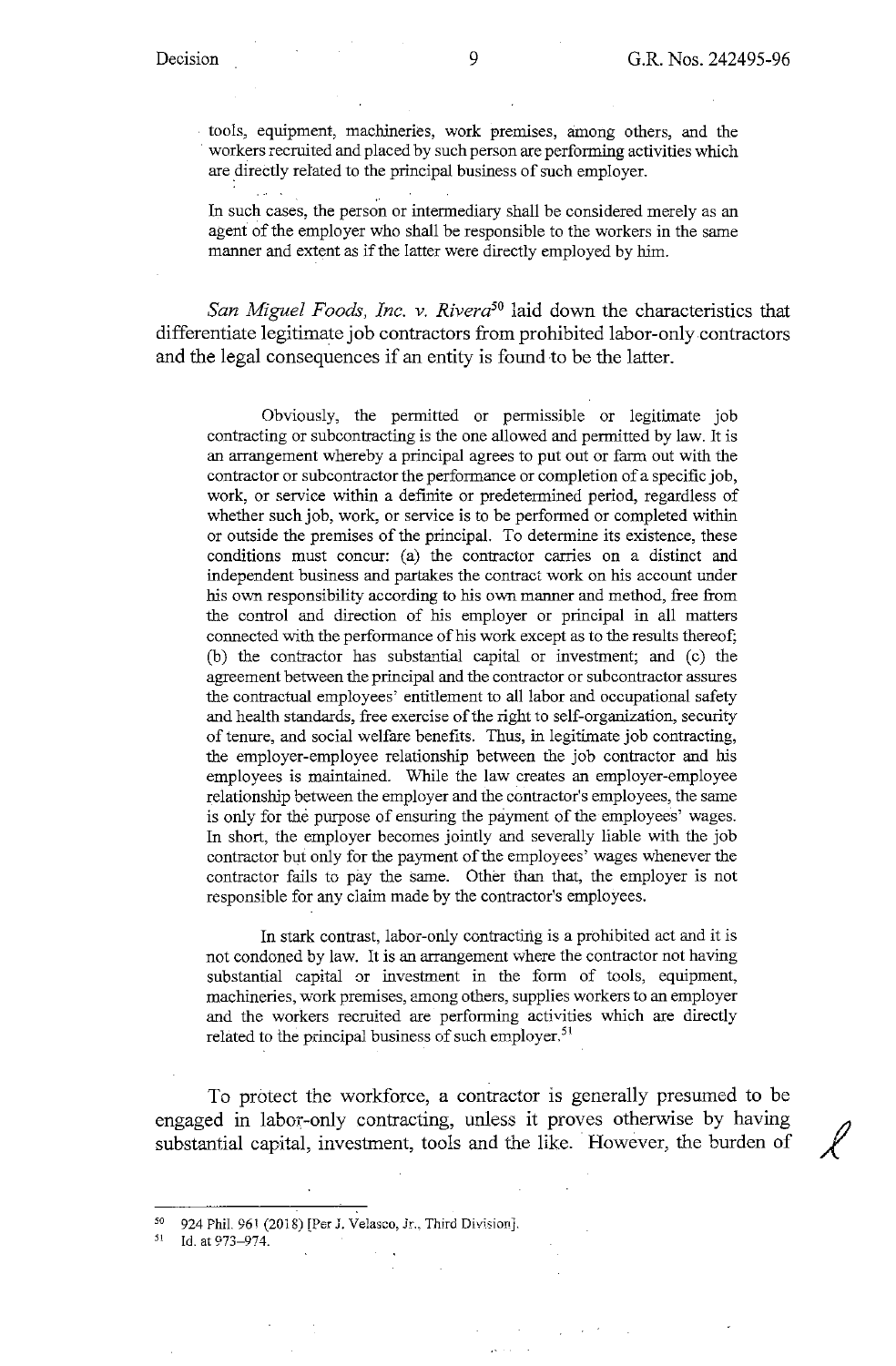**Carlos** 

tools, equipment, machineries, work premises, among others, and the workers recruited and placed by such person are performing activities which are directly related to the principal business of such employer.

In such cases, the person or intermediary shall be considered merely as an agent of the employer who shall be responsible to the workers in the same manner and extent as if the latter were directly employed by him.

*San Miguel Foods, Inc. v. Rivera50* laid down the characteristics that differentiate legitimate job contractors from prohibited labor-only contractors and the legal consequences if an entity is found to be the latter.

Obviously, the permitted or permissible or legitimate job contracting or subcontracting is the one allowed and permitted by law. It is an arrangement whereby a principal agrees to put out or farm out with the contractor or subcontractor the performance or completion of a specific job, work, or service within a definite or predetermined period, regardless of whether such job, work, or service is to be performed or completed within or outside the premises of the principal. To determine its existence, these conditions must concur: (a) the contractor carries on a distinct and independent business and partakes the contract work on his account under his own responsibility according to his own manner and method, free from the control and direction of his employer or principal in all matters connected with the performance of his work except as to the results thereof; (b) the contractor has substantial capital or investment; and (c) the agreement between the principal and the contractor or subcontractor assures the contractual employees' entitlement to all labor and occupational safety and health standards, free exercise of the right to self-organization, security of tenure, and social welfare benefits. Thus, in legitimate job contracting, the employer-employee relationship between the job contractor and his employees is maintained. While the law creates an employer-employee relationship between the employer and the contractor's employees, the same is only for the purpose of ensuring the payment of the employees' wages. In short, the employer becomes jointly and severally liable with the job contractor but only for the payment of the employees' wages whenever the contractor fails to pay the same. Other than that, the employer is not responsible for any claim made by the contractor's employees.

In stark contrast, labor-only contracting is a prohibited act and it is not condoned by law. It is an arrangement where the contractor not having substantial capital or investment in the form of tools, equipment, machineries, work premises, among others, supplies workers to an employer and the workers recruited are performing activities which are directly related to the principal business of such employer.<sup>51</sup>

To protect the workforce, a contractor is generally presumed to be engaged in labor-only contracting, unless it proves otherwise by having substantial capital, investment, tools and the like. However, the burden of

<sup>50 924</sup> Phil. 961 (2018) [Per J. Velasco, Jr., Third Division].<br>51 Id. at 973-974.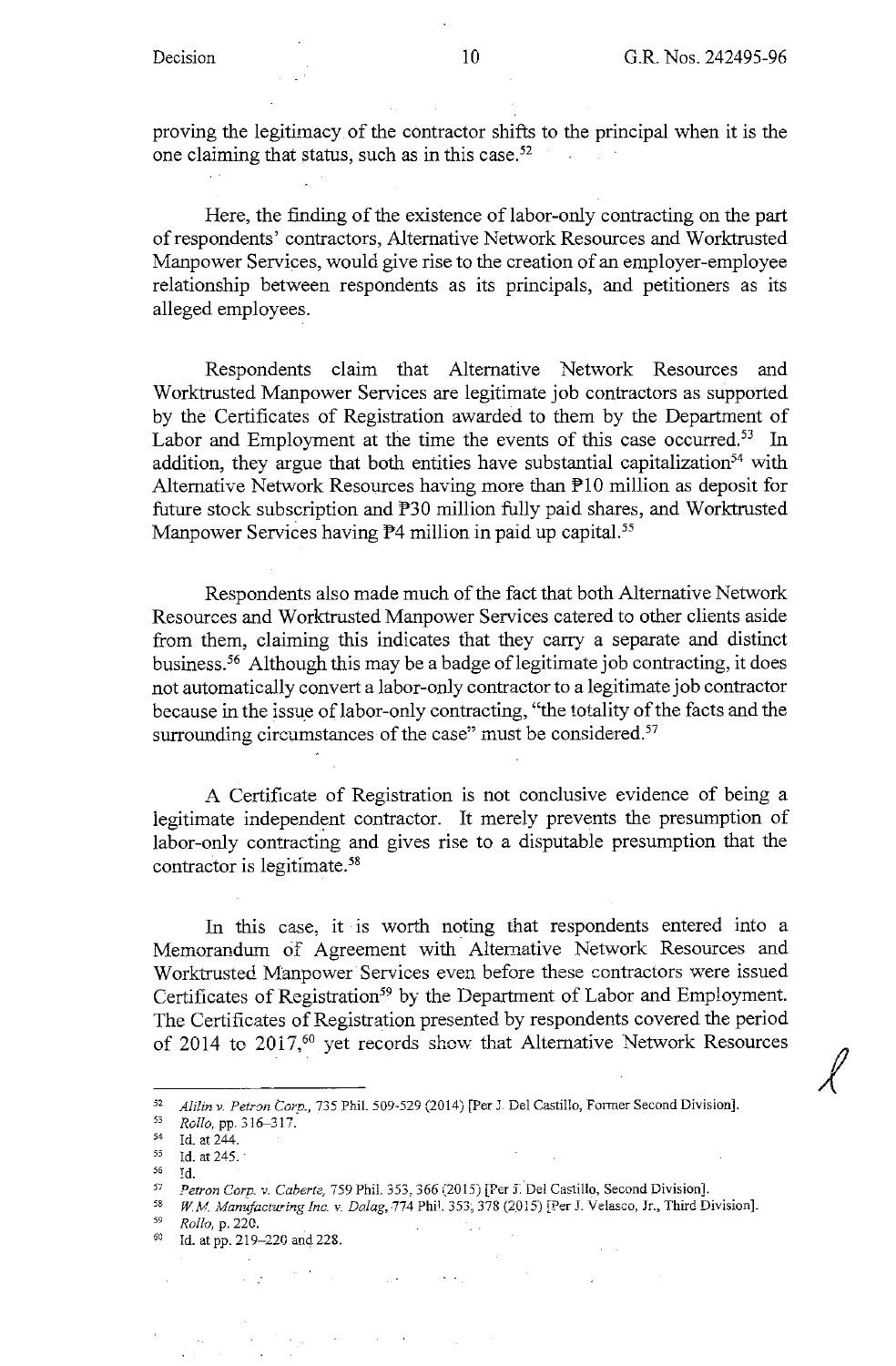*1* 

proving the legitimacy of the contractor shifts to the principal when it is the one claiming that status, such as in this case. $52$  $\sim 10^{-10}$ 

Here, the finding of the existence of labor-only contracting on the part of respondents' contractors, Alternative Network Resources and Worktrusted Manpower Services, would give rise to the creation of an employer-employee relationship between respondents as its principals, and petitioners as its alleged employees.

Respondents claim that Alternative Network Resources and Worktrusted Manpower Services are legitimate job contractors as supported by the Certificates of Registration awarded to them by the Department of Labor and Employment at the time the events of this case occurred.<sup>53</sup> In addition, they argue that both entities have substantial capitalization<sup>54</sup> with Alternative Network Resources having more than  $\mathbb{P}10$  million as deposit for future stock subscription and P30 million fully paid shares, and Worktrusted Manpower Services having  $P$ 4 million in paid up capital.<sup>55</sup>

Respondents also made much of the fact that both Alternative Network Resources and Worktrusted Manpower Services catered to other clients aside from them, claiming this indicates that they carry a separate and distinct business.<sup>56</sup> Although this may be a badge of legitimate job contracting, it does not automatically convert a labor-only contractor to a legitimate job contractor because in the issue of labor-only contracting, "the totality of the facts and the surrounding circumstances of the case" must be considered.<sup>57</sup>

A Certificate of Registration is not conclusive evidence of being a legitimate independent contractor. It merely prevents the presumption of labor-only contracting and gives rise to a disputable presumption that the contractor is legitimate. 58

In this case, it is worth noting that respondents entered into a Memorandum of Agreement with Alternative Network Resources and Worktrusted Manpower Services even before these contractors were issued Certificates of Registration<sup>59</sup> by the Department of Labor and Employment. The Certificates of Registration presented by respondents covered the period of 2014 to 2017,<sup>60</sup> yet records show that Alternative Network Resources

s6 **Id.** 

 $\mathcal{L}^{\text{max}}$ 

 $\sim 800$ 

 $\mathcal{F}_{\mathbf{1},\mathbf{2},\mathbf{3}}$ 

<sup>59</sup>*Rollo,* p. 220.

*<sup>51</sup> Ali!in v. Petron Com,* 735 Phil. 509-529 (2014) [Per J Del Castillo, Former Second Division]. 53 R-I/ **u** *0,* **pp** '16 °1~· **.** .J -..., *!.* 

 $^{54}$  Id. at  $244$ .<br> $^{55}$  Id. at 245

Id. at 245.

<sup>57</sup> Petron Corp. v. Caberte, 759 Phil. 353, 366 (2015) [Per J. Del Castillo, Second Division].

<sup>53</sup>*W.M ;\,fanufacturing Inc.* **v.** *Dalag,* **-77-4 Phil. 353~ 378 (2.015) [Per J. Velasco, Jr., Third Division].** 

<sup>60</sup> Id. at pp. 219-220 and 228.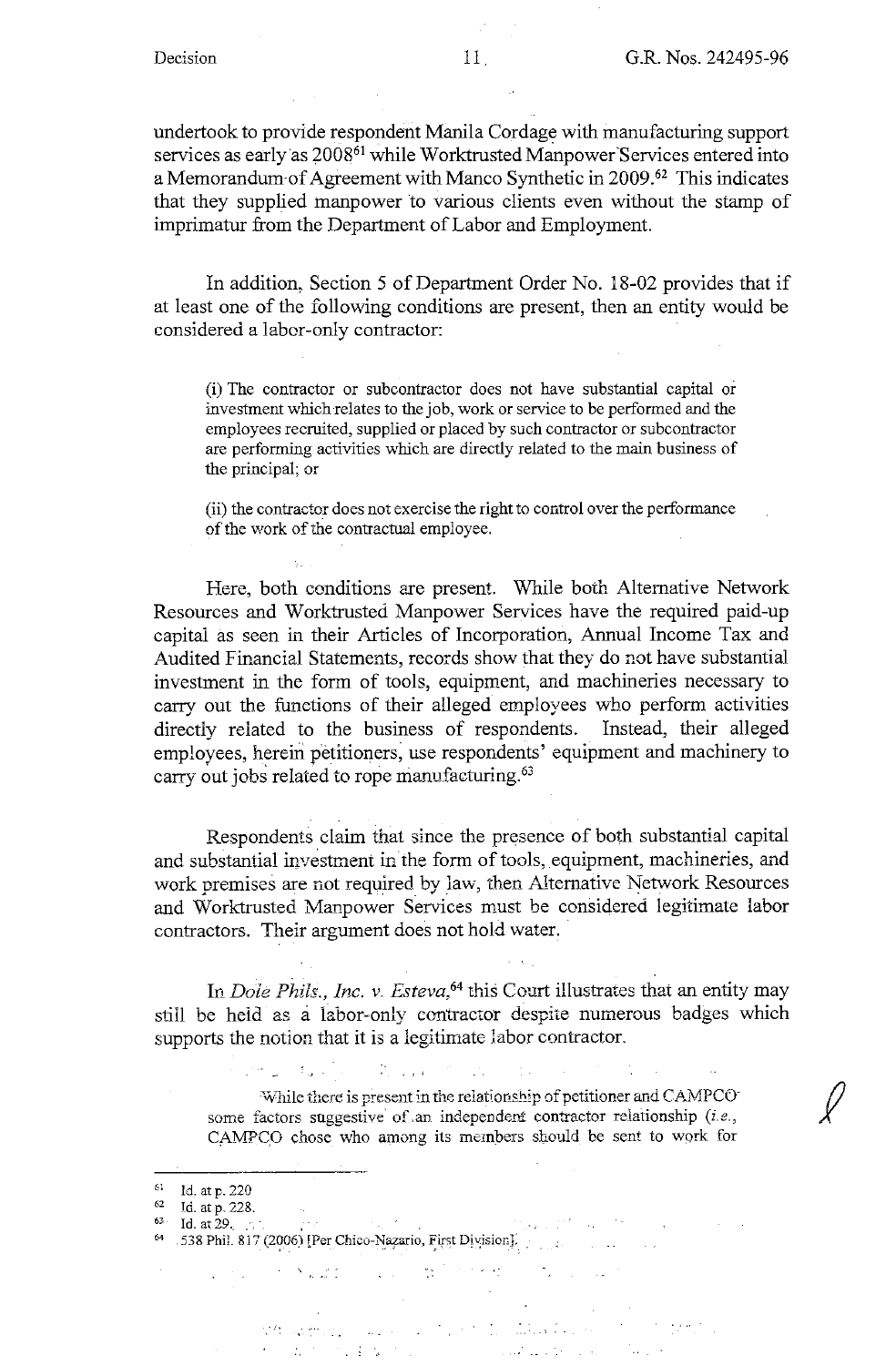undertook to provide respondent Manila Cordage with manufacturing support services as early as 2008<sup>61</sup> while Worktrusted Manpower Services entered into a Memorandum of Agreement with Manco Synthetic in 2009.<sup>62</sup> This indicates that they supplied manpower to various clients even without the stamp of imprimatur from the Department of Labor and Employment.

In addition, Section 5 of Department Order No. 18-02 provides that if at least one of the following conditions are present, then an entity would be considered a labor-only contractor:

(i) The contractor or subcontractor does not have substantial capital or investment which relates to the job, work or service to be performed and the employees recruited, supplied or placed by such contractor or subcontractor are performing activities which are directly related to the main business of the principal; or

(ii) the contractor does not exercise the right to control over the performance of the work of the contractual employee.

Here, both conditions are present. While both Alternative Network Resources and Worktrusted Manpower Services have the required paid-up capital as seen in their Articles of Incorporation, Annual Income Tax and Audited Financial Statements, records show that they do not have substantial investment in the form of tools, equipment, and machineries necessary to carry out the functions of their alleged employees who perform activities directly related to the business of respondents. Instead, their alleged employees, herein petitioners; use respondents' equipment and machinery to carry out jobs related to rope manufacturing. 63

Respondents claim that since the presence of both substantial capital and substantial investment in the form of tools, equipment, machineries, and work premises are not required by law, then Alternative Network Resources and Worktrusted Manpower Services must be considered legitimate labor contractors. Their argument does not hold water.

In *Dole Phils., Inc. v. Esteva,64* this Court illustrates that an entity may still be heid as a labor-only contractor despite numerous badges which supports the notion that it is a legitimate labor contractor.

 $\frac{1}{2}$  ,  $\frac{1}{2}$  ,  $\frac{1}{2}$  ,  $\frac{1}{2}$  ,  $\frac{1}{2}$  ,  $\frac{1}{2}$ 

While there is present in the relationship of petitioner and CAMPCO<sup>-</sup> some factors suggestive of an independent contractor relationship *(i.e.,* CAMPC.O chose who among its members should be sent to work for

i<br>Priznanje po

 $\label{eq:2.1} \mathcal{A} = \mathbf{X} \sum_{\mathbf{X} \in \mathcal{X}} \mathcal{A}(\mathbf{X}|\mathbf{X})$ 

 $\sim 10^{-10}$ 

 $\mathcal{F}=\{x,y,z\}$  ,  $\mathcal{F}$ 

 $\mathbb{Z}^{\times}_{\mathbb{Z}^{\times}}$ 

) where  $\mathbf{a}_1$  is a set of  $\mathbf{a}_1$  , and

**Carl Committee** 

**The Secretary Company of the Company of the Company of the Company of the Company of the Company of the Company With Stringer**  $\label{eq:2} \frac{1}{2}\left(\frac{1}{2}\sum_{i=1}^{n} \frac{1}{2}\sum_{i=1}^{n} \frac{1}{2}\sum_{i=1}^{n} \frac{1}{2}\sum_{i=1}^{n} \frac{1}{2}\sum_{i=1}^{n} \frac{1}{2}\sum_{i=1}^{n} \frac{1}{2}\sum_{i=1}^{n} \frac{1}{2}\sum_{i=1}^{n} \frac{1}{2}\sum_{i=1}^{n} \frac{1}{2}\sum_{i=1}^{n} \frac{1}{2}\sum_{i=1}^{n} \frac{1}{2}\sum_{i=1}^{n} \frac{1}{2}\sum_{i=1}$ 

 $1$ d. at p. 220

 $62$  Id. at p. 228.

<sup>63</sup> Id. at  $29.$  ...

<sup>64 538</sup> Phil. 817 (2006) [Per Chico-Nazario, First Division].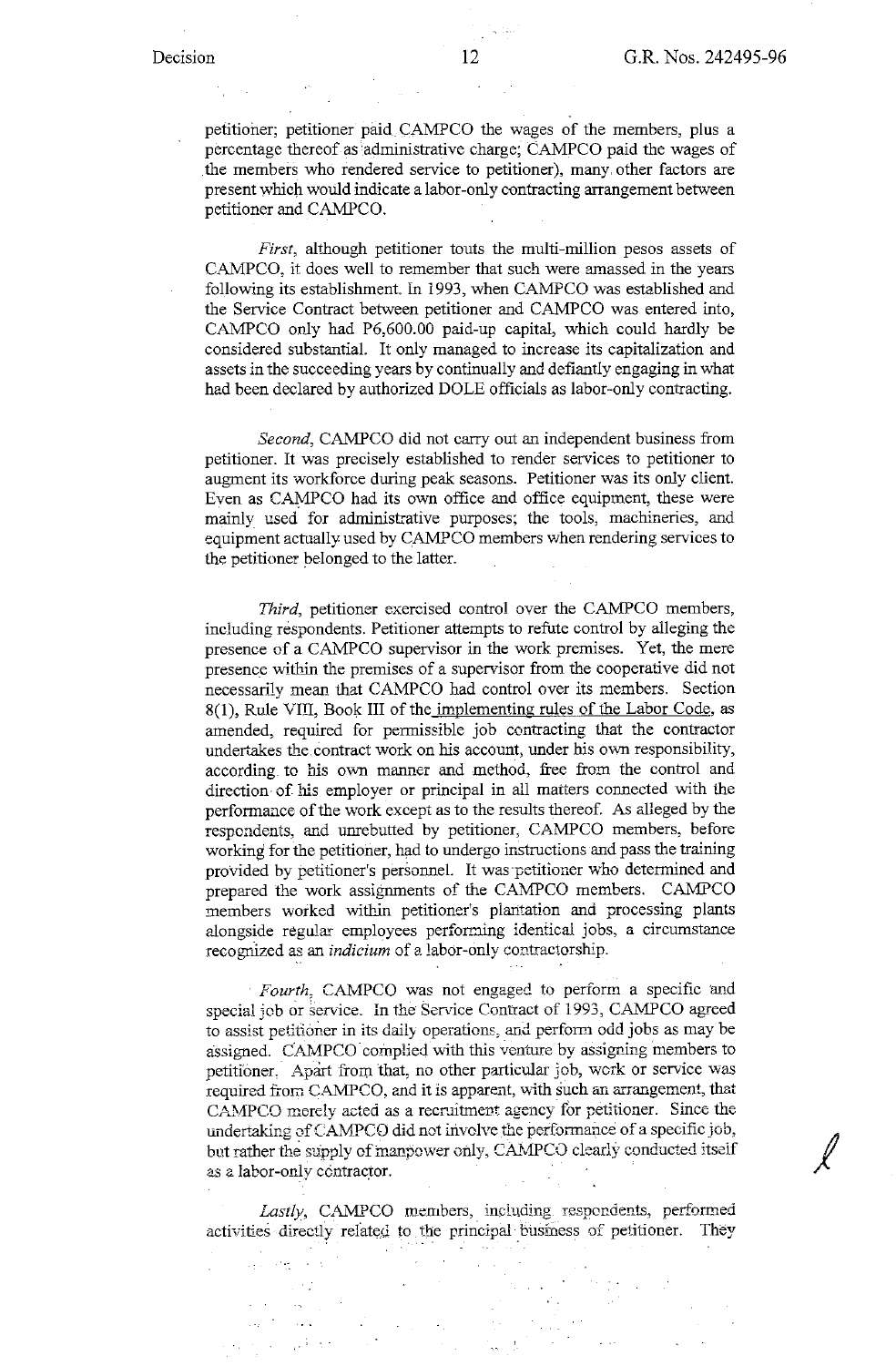$\ell$ 

petitioner; petitioner paid CAMPCO the wages of the members, plus a percentage thereof as administrative charge; CAMPCO paid the wages of .the members who rendered service to petitioner), many. other factors are present which would indicate a labor-only contracting arrangement between petitioner and CAMPCO.

*First,* although petitioner touts the multi-million pesos assets of CAMPCO, it does well to remember that such were amassed in the years following its establishment. In 1993, when CAMPCO was established and the Service Contract between petitioner and CAMPCO was entered into, CAMPCO only had P6,600.00 paid-up capital, which could hardly be considered substantial. It only managed to increase its capitalization and assets in the succeeding years by continually and defiantly engaging in what had been declared by authorized DOLE officials as labor-only contracting.

*Second,* CAMPCO did not carry out an independent business from petitioner. It was precisely established to render services to petitioner to augment its workforce during peak seasons. Petitioner was its only client. Even as CAMPCO had its own office and office equipment, these were mainly used for administrative purposes; the tools, machineries, and equipment actually used by CAMPCO members when rendering services to the petitioner belonged to the latter.

*Third*, petitioner exercised control over the CAMPCO members, including respondents. Petitioner attempts to refute control by alleging the presence of a CAMPCO supervisor in the work premises. Yet, the mere presence within the premises of a supervisor from the cooperative did not necessarily mean that CAMPCO had control over its members. Section 8(1), Rule VIII, Book III of the implementing rules of the Labor Code, as amended, required for permissible job contracting that the contractor undertakes the contract work on his account, under his own responsibility, according. to bis own manner and method, free from the control and direction of his employer or principal in all matters connected with the performance of the work except as to the results thereof. As alleged by the respondents, and unrebutted by petitioner, CAMPCO members, before working for the petitioner, had to undergo instructions and pass the training provided by petitioner's personnel. It was-petitioner who determined and prepared the work assignments of the CAMPCO members. CAMPCO members worked within petitioner's plantation and processing plants alongside regular employees performing identical jobs, a circumstance recognized as an *indicium* of *a.* labor-only contractorship.

Fourth, CAMPCO was not engaged to perform a specific and special job or service. In the Service Contract of 1993, CAMPCO agreed to assist petitioner in its daily operations, and perform odd jobs as may be assigned. CAMPCO complied with this venture by assigning members to petitioner, Apart from that, no other particular job, work or service was required from CAMPCO, and it is apparent, with such an arrangement, that CAMPCO merely acted as a recruitment agency for petitioner. Since the undertaking of CAMPCO did not involve the performance of a specific job, but rather the supply of manpower only, CAMPCO clearly conducted itself as a labor-only contractor.

Lastly, CAMPCO members, including respondents, performed activities directly related to the principal business of petitioner. They

 $\sim 12$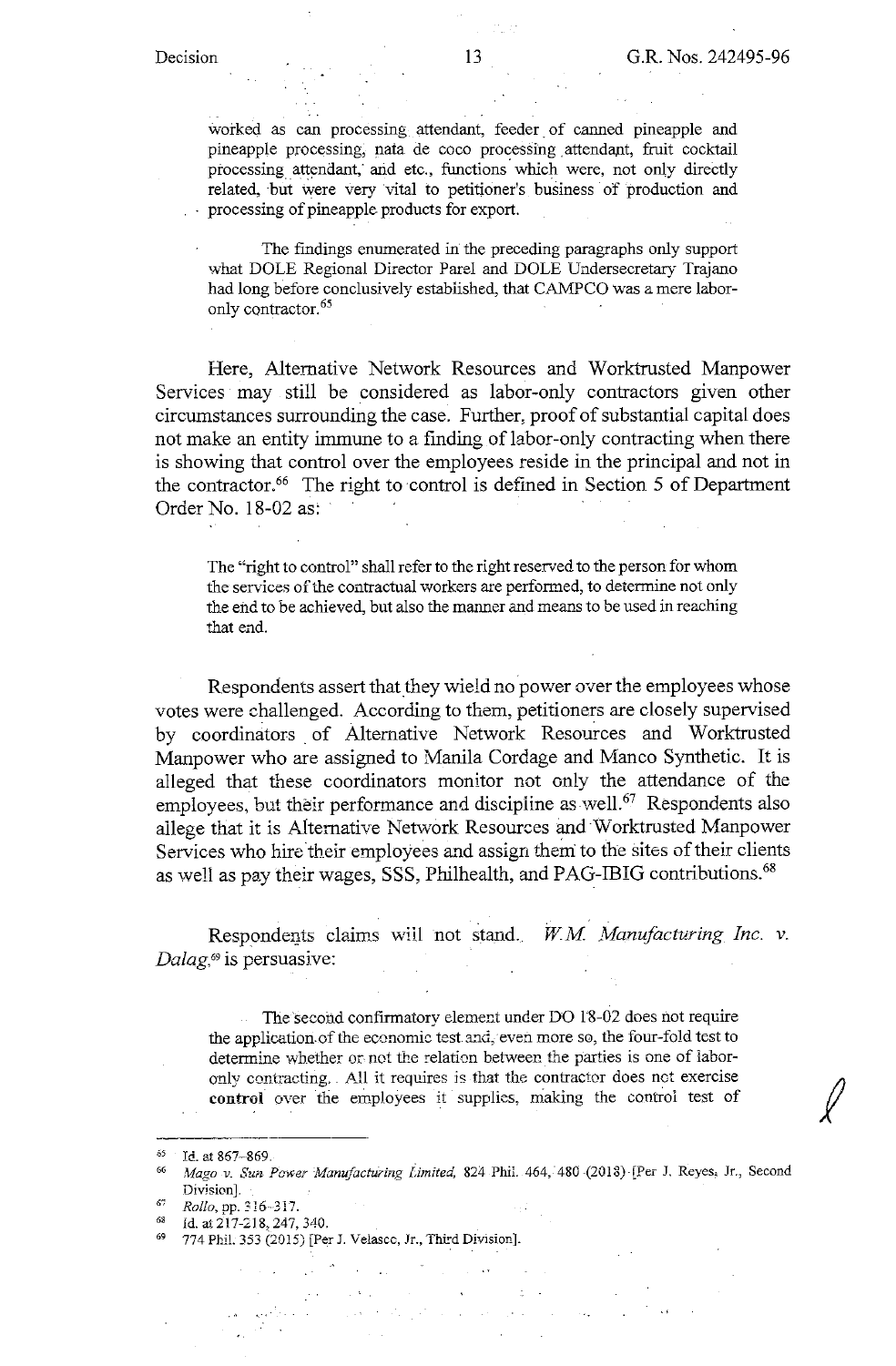worked as can processing attendant, feeder of canned pineapple and pineapple processing, nata de coco processing attendant, fruit cocktail processing attendant; and etc., functions which were, not only directly related, but were very vital to petitioner's business of production and processing of pineapple products for export.

The findings enumerated in the preceding paragraphs only support what DOLE Regional Director Pare! and DOLE Undersecretary Trajano had long before conclusively established, that CAMPCO was a mere laboronly contractor. 65

Here, Alternative Network Resources and Worktrusted Manpower Services may still be considered as labor-only contractors given other circumstances surrounding the case. Further, proof of substantial capital does not make an entity immune to a finding of labor-only contracting when there is showing that control over the employees reside in the principal and not in the contractor.<sup>66</sup> The right to control is defined in Section 5 of Department Order No. 18-02 as:

The "right to control" shall refer to the right reserved to the person for whom the services of the contractual workers are performed, to determine not only the end to be achieved, but also the manner and means to be used in reaching that end.

Respondents assert that they wield no power over the employees whose votes were challenged. According to them, petitioners are closely supervised by coordinators of Alternative Network Resources and Worktrusted Manpower who are assigned to Manila Cordage and Manco Synthetic. It is alleged that these coordinators monitor not only the attendance of the employees, but their performance and discipline as well.<sup>67</sup> Respondents also allege that it is Alternative Network Resources and W orktrusted Manpower Services who hire their employees and assign them to the sites of their clients as well as pay their wages, SSS, Philhealth, and PAG-IBIG contributions.<sup>68</sup>

Respondents claims will not stand. *W.M. Manufacturing Inc.* v. *Dalag,*69 is persuasive:

The second confirmatory element under DO 18-02 does not require the application.of the economic test and, even more so, the four-fold test to determine whether or not the relation between the parties is one of laboronly contracting. All it requires is that the contractor does not exercise **control** over the employees it supplies, making the control test of *}(* 

 $\mathcal{A}^{\pm}$ 

 $\mathcal{L}_{\text{max}}$  ,  $\mathcal{L}_{\text{max}}$ 

 $\mathcal{L}^{\text{max}}$ 

المتعاطفة

 $\sim 100$  km s  $^{-1}$ 

 $\mu$  is a set of  $\mu$  . In the  $\mu$ 

<sup>65</sup> **Id. at 867--869.** 

<sup>66</sup>*,\Iago v. Sun. Power }Janu\_,factul'ing limited,* **824 Phil. 464, "480-(2013)-[Per J. Reyes; Jc, Second Division].** 

<sup>67</sup> *Rollo,* **pp. 316--J 17.** 

<sup>68</sup> Id. at 217-218, 247, 340.<br><sup>69</sup> 774 Phil. 353 (2015) [Per J. Velasco, Jr., Third Division].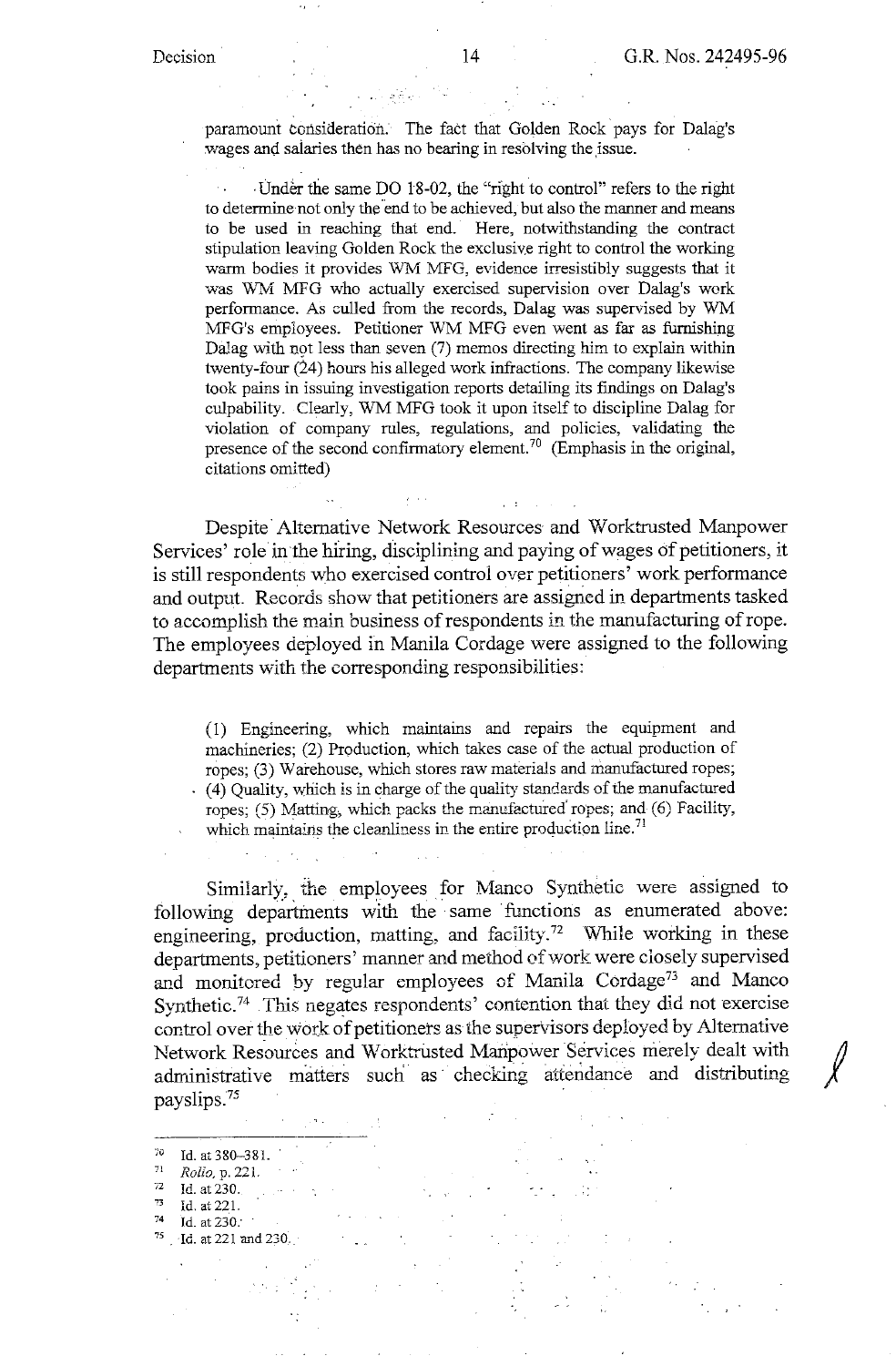paramount consideration. The fact that Golden Rock pays for Dalag's wages and salaries then has no bearing in resolving the issue.

· Under the same DO 18-02, the "right to control" refers to the right to determine not only the end to be achieved, but also the manner and means to be used in reaching that end. Here, notwithstanding the contract stipulation leaving Golden Rock the exclusive right to control the working warm bodies it provides WM MFG, evidence irresistibly suggests that it was WM MFG who actually exercised supervision over Dalag's work performance. As culled from the records, Dalag was supervised by WM MFG's employees. Petitioner WM MFG even went as far as furnishing Dalag with not less than seven (7) memos directing him to explain within twenty-four (24) hours his alleged work infractions. The company likewise took pains in issuing investigation reports detailing its findings on Dalag's culpability. Clearly, WM MFG took it upon itself to discipline Dalag for violation of company rules, regulations, and policies, validating the presence of the second confirmatory element.<sup>70</sup> (Emphasis in the original, citations omitted)

Despite Alternative Network Resources and Worktrusted Manpower Services' role in the hiring, disciplining and paying of wages of petitioners, it is still respondents who exercised control over petitioners' work performance and output. Records show that petitioners are assigned in departments tasked to accomplish the main business of respondents in the manufacturing of rope. The employees deployed in Manila Cordage were assigned to the following departments with the corresponding responsibilities:

(I) Engineering, which maintains and repairs the equipment and machineries; (2) Production, which takes case of the actual production of ropes; (3) Warehouse, which stores raw materials and manufactured ropes; (4) Quality, which is in charge of the quality standards of the manufactured ropes; (5) Matting, which packs the manufactured ropes; and (6) Facility, which maintains the cleanliness in the entire production line.<sup>71</sup>

Similarly, the employees for Manco Synthetic were assigned to following departments with the same functions as enumerated above: engineering, production, matting, and facility.<sup>72</sup> While working in these departments, petitioners' manner and method of work were closely supervised and monitored by regular employees of Manila Cordage<sup>73</sup> and Manco Synthetic.74 .This negates respondents' contention that they did not exercise control over the work of petitioners as the supervisors deployed by Alternative Network Resources and Worktrusted Manpower Services merely dealt with administrative matters such as checking attendance and distributing payslips.75

- 7' Id. at 380-38 l. 71 *Rollo,* **p. 221.**
- $\frac{72}{73}$  Id. at 230.
- 73 **Id. at 221.**
- 74 **Id. at** *230:*
- <sup>75</sup> · Id. at 221 and 230.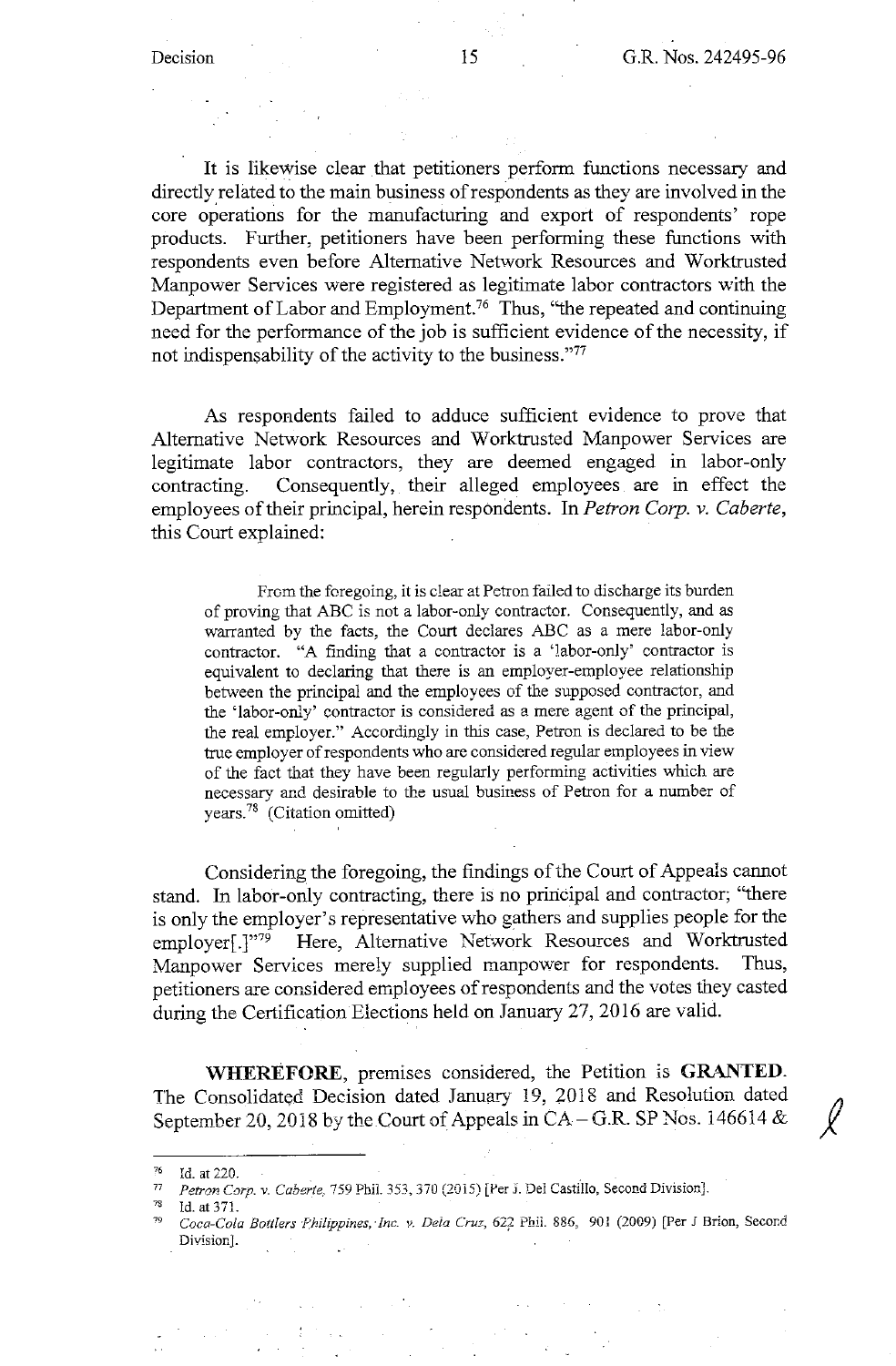It is likewise clear that petitioners perform functions necessary and directly related to the main business of respondents as they are involved in the core operations for the manufacturing and export of respondents' rope products. Further, petitioners have been performing these functions with respondents even before Alternative Network Resources and Worktrusted Manpower Services were registered as legitimate labor contractors with the Department of Labor and Employment.76 Thus, ''the repeated and continuing need for the performance of the job is sufficient evidence of the necessity, if not indispensability of the activity to the business."77

As respondents failed to adduce sufficient evidence to prove that Alternative Network Resources and Worktrusted Manpower Services are legitimate labor contractors, they are deemed engaged in labor-only contracting. Consequently, their alleged employees are in effect the employees of their principal, herein respondents. In *Petron Corp. v. Caberte,*  this Court explained:

From the foregoing, it is clear at Petron failed to discharge its burden of proving that ABC is not a labor-only contractor. Consequently, and as warranted by the facts, the Court declares ABC as a mere labor-only contractor. "A finding that a contractor is a 'labor-only' contractor is equivalent to declaring that there is an employer-employee relationship between the principal and the employees of the supposed contractor, and the 'labor-only' contractor is considered as a mere agent of the principal, the real employer." Accordingly in this case, Petron is declared to be the trne employer of respondents who are considered regular employees in view of the fact that they have been regularly performing activities which are necessary and desirable to the usual business of Petron for a number of years.78 (Citation omitted)

Considering the foregoing, the findings of the Court of Appeals cannot stand. In labor-only contracting, there is no principal and contractor; "there is only the employer's representative who gathers and supplies people for the employer[.]"79 Here, Alternative Network Resources and Worktrusted Manpower Services merely supplied manpower for respondents. Thus, petitioners are considered employees of respondents and the votes they casted during the Certification Elections held on January 27, 2016 are valid.

**\VHEREFORE,** premises considered, the Petition is **GRANTED.**  The Consolidated Decision dated January 19, 2018 and Resolution dated September 20, 2018 by the Court of Appeals in  $CA - G.R$ . SP Nos. 146614  $\&$ 

<sup>76</sup>**Id. at 220.** 

<sup>77</sup>*Petron Corp. v. Caberte,* **759 Phil. 353,370 (2015) [Per J. Del Castillo, Second Division].** 

 $^{78}$  Id. at 371.

Coca-Cola Bottlers Philippines, Inc. v. Dela Cruz, 622 Phil. 886, 901 (2009) [Per J Brion, Secord **Division).**